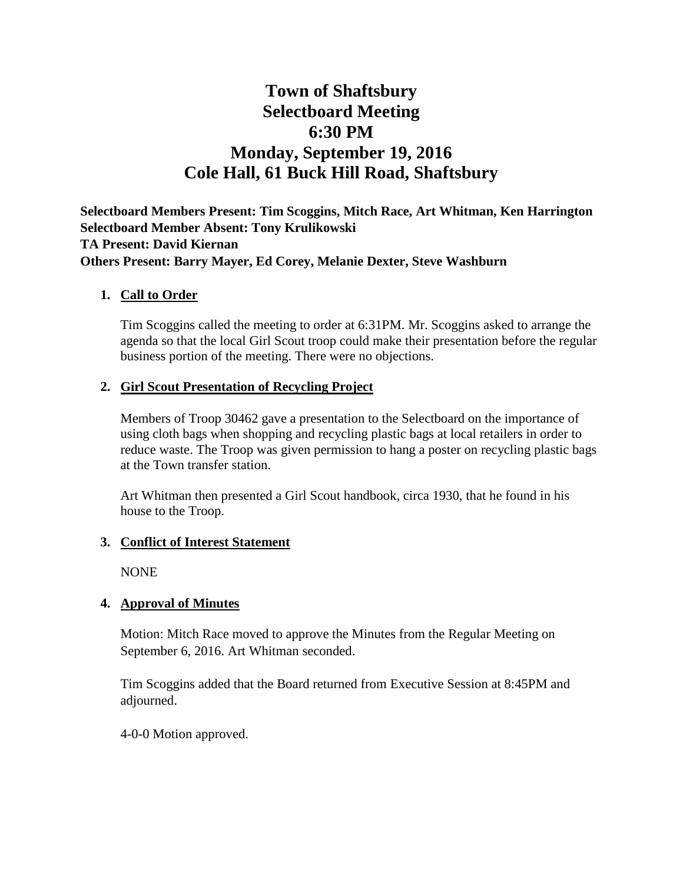# **Town of Shaftsbury Selectboard Meeting 6:30 PM Monday, September 19, 2016 Cole Hall, 61 Buck Hill Road, Shaftsbury**

**Selectboard Members Present: Tim Scoggins, Mitch Race, Art Whitman, Ken Harrington Selectboard Member Absent: Tony Krulikowski TA Present: David Kiernan Others Present: Barry Mayer, Ed Corey, Melanie Dexter, Steve Washburn**

## **1. Call to Order**

Tim Scoggins called the meeting to order at 6:31PM. Mr. Scoggins asked to arrange the agenda so that the local Girl Scout troop could make their presentation before the regular business portion of the meeting. There were no objections.

## **2. Girl Scout Presentation of Recycling Project**

Members of Troop 30462 gave a presentation to the Selectboard on the importance of using cloth bags when shopping and recycling plastic bags at local retailers in order to reduce waste. The Troop was given permission to hang a poster on recycling plastic bags at the Town transfer station.

Art Whitman then presented a Girl Scout handbook, circa 1930, that he found in his house to the Troop.

#### **3. Conflict of Interest Statement**

NONE

# **4. Approval of Minutes**

Motion: Mitch Race moved to approve the Minutes from the Regular Meeting on September 6, 2016. Art Whitman seconded.

Tim Scoggins added that the Board returned from Executive Session at 8:45PM and adjourned.

4-0-0 Motion approved.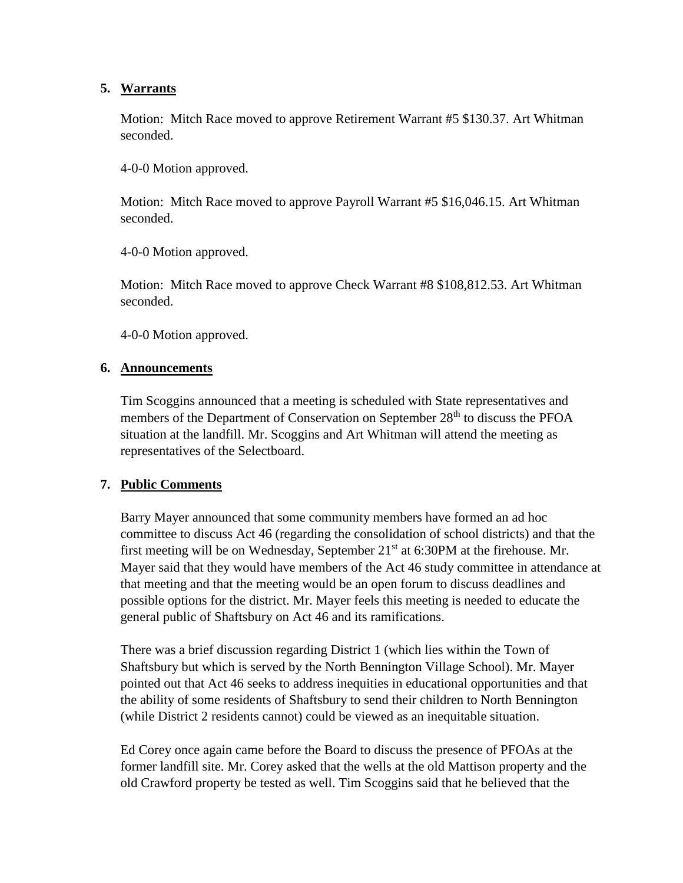# **5. Warrants**

Motion: Mitch Race moved to approve Retirement Warrant #5 \$130.37. Art Whitman seconded.

4-0-0 Motion approved.

Motion: Mitch Race moved to approve Payroll Warrant #5 \$16,046.15. Art Whitman seconded.

4-0-0 Motion approved.

Motion: Mitch Race moved to approve Check Warrant #8 \$108,812.53. Art Whitman seconded.

4-0-0 Motion approved.

#### **6. Announcements**

Tim Scoggins announced that a meeting is scheduled with State representatives and members of the Department of Conservation on September 28<sup>th</sup> to discuss the PFOA situation at the landfill. Mr. Scoggins and Art Whitman will attend the meeting as representatives of the Selectboard.

# **7. Public Comments**

Barry Mayer announced that some community members have formed an ad hoc committee to discuss Act 46 (regarding the consolidation of school districts) and that the first meeting will be on Wednesday, September  $21<sup>st</sup>$  at 6:30PM at the firehouse. Mr. Mayer said that they would have members of the Act 46 study committee in attendance at that meeting and that the meeting would be an open forum to discuss deadlines and possible options for the district. Mr. Mayer feels this meeting is needed to educate the general public of Shaftsbury on Act 46 and its ramifications.

There was a brief discussion regarding District 1 (which lies within the Town of Shaftsbury but which is served by the North Bennington Village School). Mr. Mayer pointed out that Act 46 seeks to address inequities in educational opportunities and that the ability of some residents of Shaftsbury to send their children to North Bennington (while District 2 residents cannot) could be viewed as an inequitable situation.

Ed Corey once again came before the Board to discuss the presence of PFOAs at the former landfill site. Mr. Corey asked that the wells at the old Mattison property and the old Crawford property be tested as well. Tim Scoggins said that he believed that the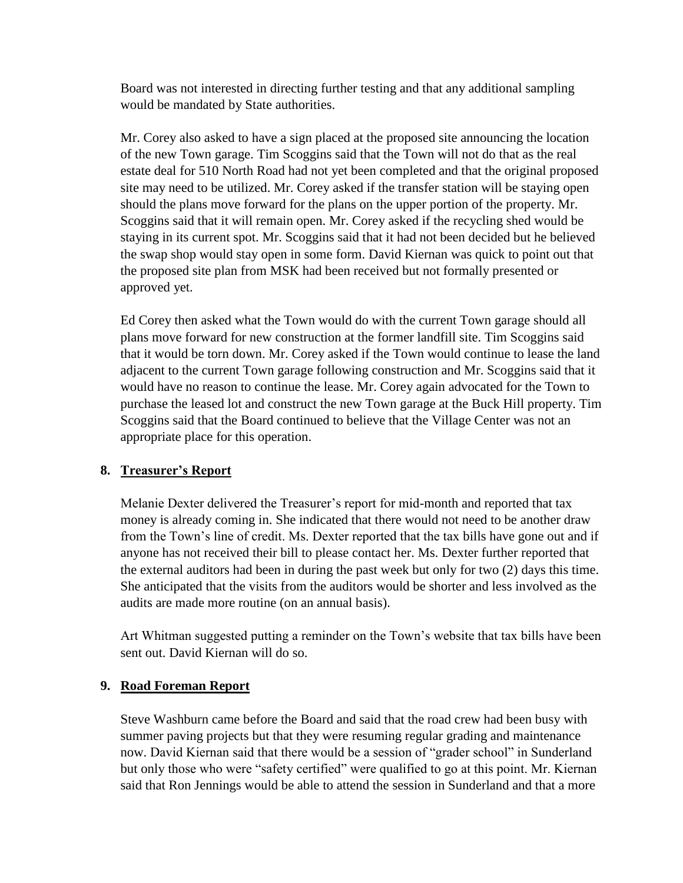Board was not interested in directing further testing and that any additional sampling would be mandated by State authorities.

Mr. Corey also asked to have a sign placed at the proposed site announcing the location of the new Town garage. Tim Scoggins said that the Town will not do that as the real estate deal for 510 North Road had not yet been completed and that the original proposed site may need to be utilized. Mr. Corey asked if the transfer station will be staying open should the plans move forward for the plans on the upper portion of the property. Mr. Scoggins said that it will remain open. Mr. Corey asked if the recycling shed would be staying in its current spot. Mr. Scoggins said that it had not been decided but he believed the swap shop would stay open in some form. David Kiernan was quick to point out that the proposed site plan from MSK had been received but not formally presented or approved yet.

Ed Corey then asked what the Town would do with the current Town garage should all plans move forward for new construction at the former landfill site. Tim Scoggins said that it would be torn down. Mr. Corey asked if the Town would continue to lease the land adjacent to the current Town garage following construction and Mr. Scoggins said that it would have no reason to continue the lease. Mr. Corey again advocated for the Town to purchase the leased lot and construct the new Town garage at the Buck Hill property. Tim Scoggins said that the Board continued to believe that the Village Center was not an appropriate place for this operation.

# **8. Treasurer's Report**

Melanie Dexter delivered the Treasurer's report for mid-month and reported that tax money is already coming in. She indicated that there would not need to be another draw from the Town's line of credit. Ms. Dexter reported that the tax bills have gone out and if anyone has not received their bill to please contact her. Ms. Dexter further reported that the external auditors had been in during the past week but only for two (2) days this time. She anticipated that the visits from the auditors would be shorter and less involved as the audits are made more routine (on an annual basis).

Art Whitman suggested putting a reminder on the Town's website that tax bills have been sent out. David Kiernan will do so.

#### **9. Road Foreman Report**

Steve Washburn came before the Board and said that the road crew had been busy with summer paving projects but that they were resuming regular grading and maintenance now. David Kiernan said that there would be a session of "grader school" in Sunderland but only those who were "safety certified" were qualified to go at this point. Mr. Kiernan said that Ron Jennings would be able to attend the session in Sunderland and that a more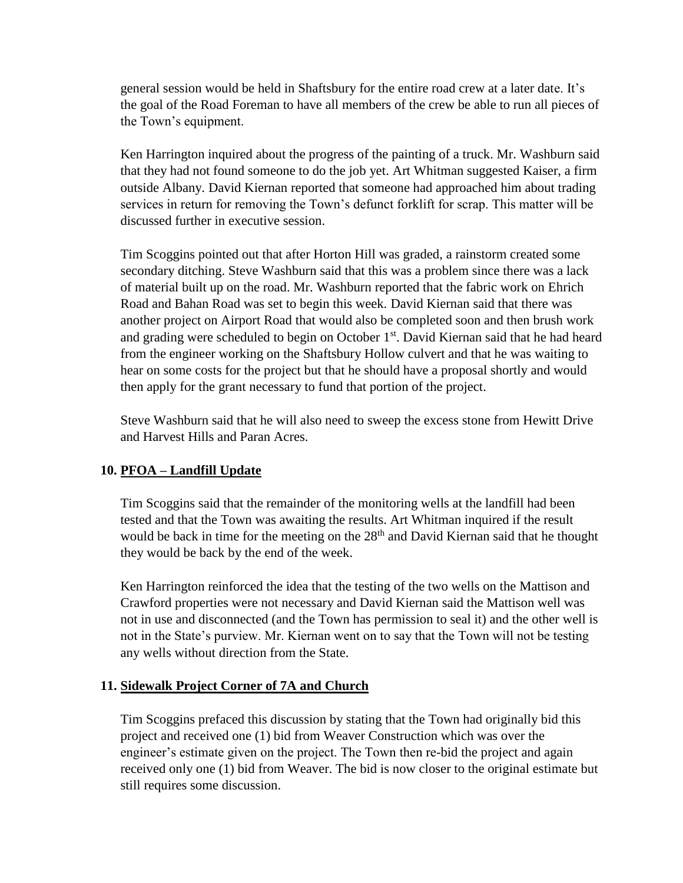general session would be held in Shaftsbury for the entire road crew at a later date. It's the goal of the Road Foreman to have all members of the crew be able to run all pieces of the Town's equipment.

Ken Harrington inquired about the progress of the painting of a truck. Mr. Washburn said that they had not found someone to do the job yet. Art Whitman suggested Kaiser, a firm outside Albany. David Kiernan reported that someone had approached him about trading services in return for removing the Town's defunct forklift for scrap. This matter will be discussed further in executive session.

Tim Scoggins pointed out that after Horton Hill was graded, a rainstorm created some secondary ditching. Steve Washburn said that this was a problem since there was a lack of material built up on the road. Mr. Washburn reported that the fabric work on Ehrich Road and Bahan Road was set to begin this week. David Kiernan said that there was another project on Airport Road that would also be completed soon and then brush work and grading were scheduled to begin on October  $1<sup>st</sup>$ . David Kiernan said that he had heard from the engineer working on the Shaftsbury Hollow culvert and that he was waiting to hear on some costs for the project but that he should have a proposal shortly and would then apply for the grant necessary to fund that portion of the project.

Steve Washburn said that he will also need to sweep the excess stone from Hewitt Drive and Harvest Hills and Paran Acres.

# **10. PFOA – Landfill Update**

Tim Scoggins said that the remainder of the monitoring wells at the landfill had been tested and that the Town was awaiting the results. Art Whitman inquired if the result would be back in time for the meeting on the  $28<sup>th</sup>$  and David Kiernan said that he thought they would be back by the end of the week.

Ken Harrington reinforced the idea that the testing of the two wells on the Mattison and Crawford properties were not necessary and David Kiernan said the Mattison well was not in use and disconnected (and the Town has permission to seal it) and the other well is not in the State's purview. Mr. Kiernan went on to say that the Town will not be testing any wells without direction from the State.

# **11. Sidewalk Project Corner of 7A and Church**

Tim Scoggins prefaced this discussion by stating that the Town had originally bid this project and received one (1) bid from Weaver Construction which was over the engineer's estimate given on the project. The Town then re-bid the project and again received only one (1) bid from Weaver. The bid is now closer to the original estimate but still requires some discussion.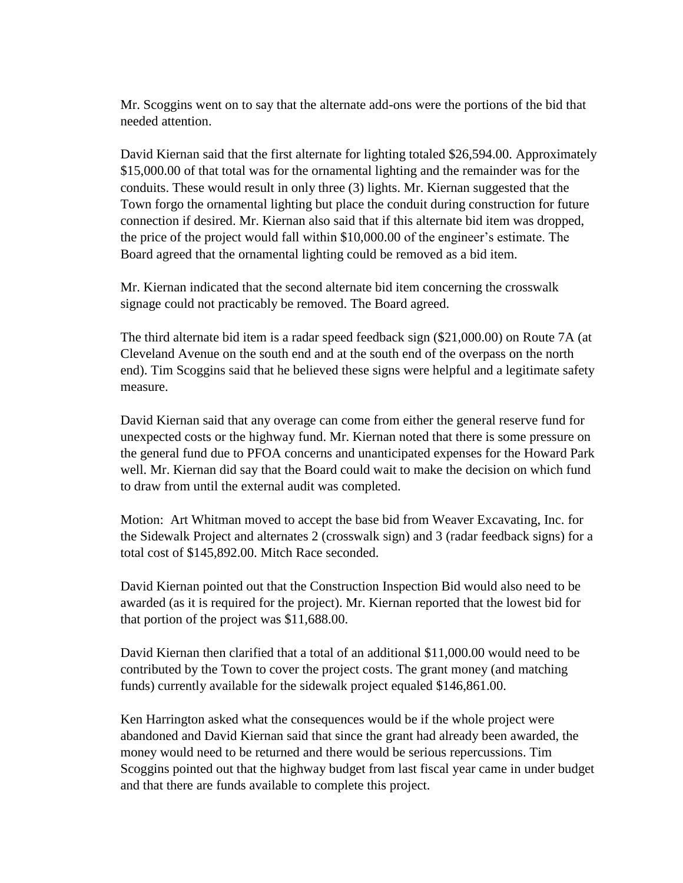Mr. Scoggins went on to say that the alternate add-ons were the portions of the bid that needed attention.

David Kiernan said that the first alternate for lighting totaled \$26,594.00. Approximately \$15,000.00 of that total was for the ornamental lighting and the remainder was for the conduits. These would result in only three (3) lights. Mr. Kiernan suggested that the Town forgo the ornamental lighting but place the conduit during construction for future connection if desired. Mr. Kiernan also said that if this alternate bid item was dropped, the price of the project would fall within \$10,000.00 of the engineer's estimate. The Board agreed that the ornamental lighting could be removed as a bid item.

Mr. Kiernan indicated that the second alternate bid item concerning the crosswalk signage could not practicably be removed. The Board agreed.

The third alternate bid item is a radar speed feedback sign (\$21,000.00) on Route 7A (at Cleveland Avenue on the south end and at the south end of the overpass on the north end). Tim Scoggins said that he believed these signs were helpful and a legitimate safety measure.

David Kiernan said that any overage can come from either the general reserve fund for unexpected costs or the highway fund. Mr. Kiernan noted that there is some pressure on the general fund due to PFOA concerns and unanticipated expenses for the Howard Park well. Mr. Kiernan did say that the Board could wait to make the decision on which fund to draw from until the external audit was completed.

Motion: Art Whitman moved to accept the base bid from Weaver Excavating, Inc. for the Sidewalk Project and alternates 2 (crosswalk sign) and 3 (radar feedback signs) for a total cost of \$145,892.00. Mitch Race seconded.

David Kiernan pointed out that the Construction Inspection Bid would also need to be awarded (as it is required for the project). Mr. Kiernan reported that the lowest bid for that portion of the project was \$11,688.00.

David Kiernan then clarified that a total of an additional \$11,000.00 would need to be contributed by the Town to cover the project costs. The grant money (and matching funds) currently available for the sidewalk project equaled \$146,861.00.

Ken Harrington asked what the consequences would be if the whole project were abandoned and David Kiernan said that since the grant had already been awarded, the money would need to be returned and there would be serious repercussions. Tim Scoggins pointed out that the highway budget from last fiscal year came in under budget and that there are funds available to complete this project.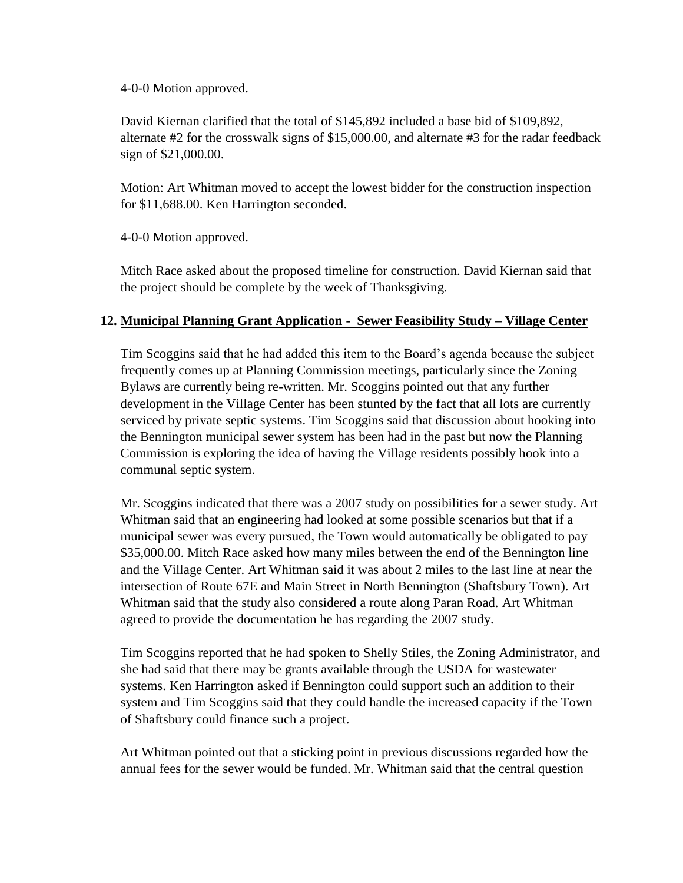4-0-0 Motion approved.

David Kiernan clarified that the total of \$145,892 included a base bid of \$109,892, alternate #2 for the crosswalk signs of \$15,000.00, and alternate #3 for the radar feedback sign of \$21,000.00.

Motion: Art Whitman moved to accept the lowest bidder for the construction inspection for \$11,688.00. Ken Harrington seconded.

4-0-0 Motion approved.

Mitch Race asked about the proposed timeline for construction. David Kiernan said that the project should be complete by the week of Thanksgiving.

# **12. Municipal Planning Grant Application - Sewer Feasibility Study – Village Center**

Tim Scoggins said that he had added this item to the Board's agenda because the subject frequently comes up at Planning Commission meetings, particularly since the Zoning Bylaws are currently being re-written. Mr. Scoggins pointed out that any further development in the Village Center has been stunted by the fact that all lots are currently serviced by private septic systems. Tim Scoggins said that discussion about hooking into the Bennington municipal sewer system has been had in the past but now the Planning Commission is exploring the idea of having the Village residents possibly hook into a communal septic system.

Mr. Scoggins indicated that there was a 2007 study on possibilities for a sewer study. Art Whitman said that an engineering had looked at some possible scenarios but that if a municipal sewer was every pursued, the Town would automatically be obligated to pay \$35,000.00. Mitch Race asked how many miles between the end of the Bennington line and the Village Center. Art Whitman said it was about 2 miles to the last line at near the intersection of Route 67E and Main Street in North Bennington (Shaftsbury Town). Art Whitman said that the study also considered a route along Paran Road. Art Whitman agreed to provide the documentation he has regarding the 2007 study.

Tim Scoggins reported that he had spoken to Shelly Stiles, the Zoning Administrator, and she had said that there may be grants available through the USDA for wastewater systems. Ken Harrington asked if Bennington could support such an addition to their system and Tim Scoggins said that they could handle the increased capacity if the Town of Shaftsbury could finance such a project.

Art Whitman pointed out that a sticking point in previous discussions regarded how the annual fees for the sewer would be funded. Mr. Whitman said that the central question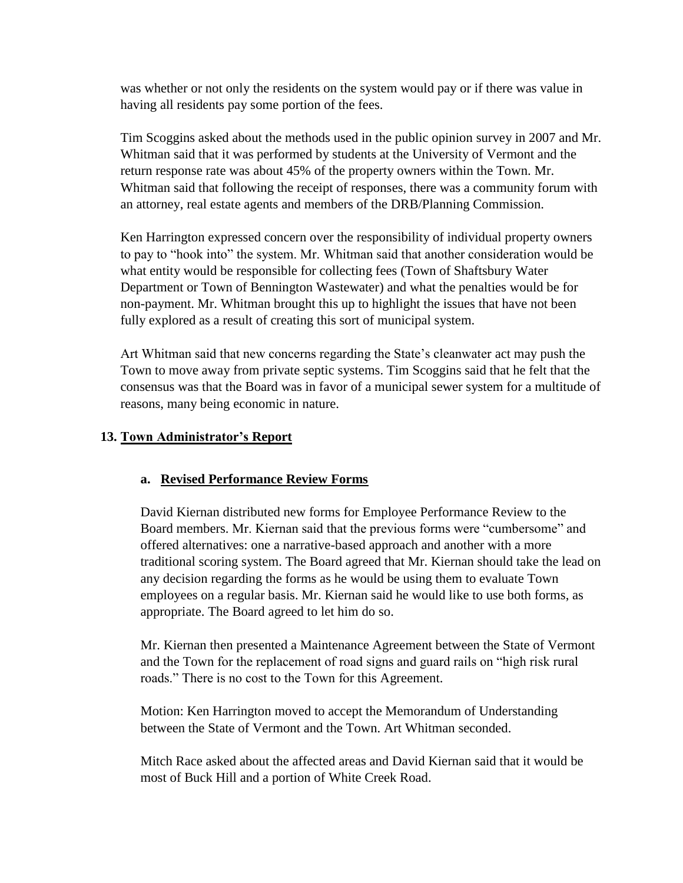was whether or not only the residents on the system would pay or if there was value in having all residents pay some portion of the fees.

Tim Scoggins asked about the methods used in the public opinion survey in 2007 and Mr. Whitman said that it was performed by students at the University of Vermont and the return response rate was about 45% of the property owners within the Town. Mr. Whitman said that following the receipt of responses, there was a community forum with an attorney, real estate agents and members of the DRB/Planning Commission.

Ken Harrington expressed concern over the responsibility of individual property owners to pay to "hook into" the system. Mr. Whitman said that another consideration would be what entity would be responsible for collecting fees (Town of Shaftsbury Water Department or Town of Bennington Wastewater) and what the penalties would be for non-payment. Mr. Whitman brought this up to highlight the issues that have not been fully explored as a result of creating this sort of municipal system.

Art Whitman said that new concerns regarding the State's cleanwater act may push the Town to move away from private septic systems. Tim Scoggins said that he felt that the consensus was that the Board was in favor of a municipal sewer system for a multitude of reasons, many being economic in nature.

## **13. Town Administrator's Report**

#### **a. Revised Performance Review Forms**

David Kiernan distributed new forms for Employee Performance Review to the Board members. Mr. Kiernan said that the previous forms were "cumbersome" and offered alternatives: one a narrative-based approach and another with a more traditional scoring system. The Board agreed that Mr. Kiernan should take the lead on any decision regarding the forms as he would be using them to evaluate Town employees on a regular basis. Mr. Kiernan said he would like to use both forms, as appropriate. The Board agreed to let him do so.

Mr. Kiernan then presented a Maintenance Agreement between the State of Vermont and the Town for the replacement of road signs and guard rails on "high risk rural roads." There is no cost to the Town for this Agreement.

Motion: Ken Harrington moved to accept the Memorandum of Understanding between the State of Vermont and the Town. Art Whitman seconded.

Mitch Race asked about the affected areas and David Kiernan said that it would be most of Buck Hill and a portion of White Creek Road.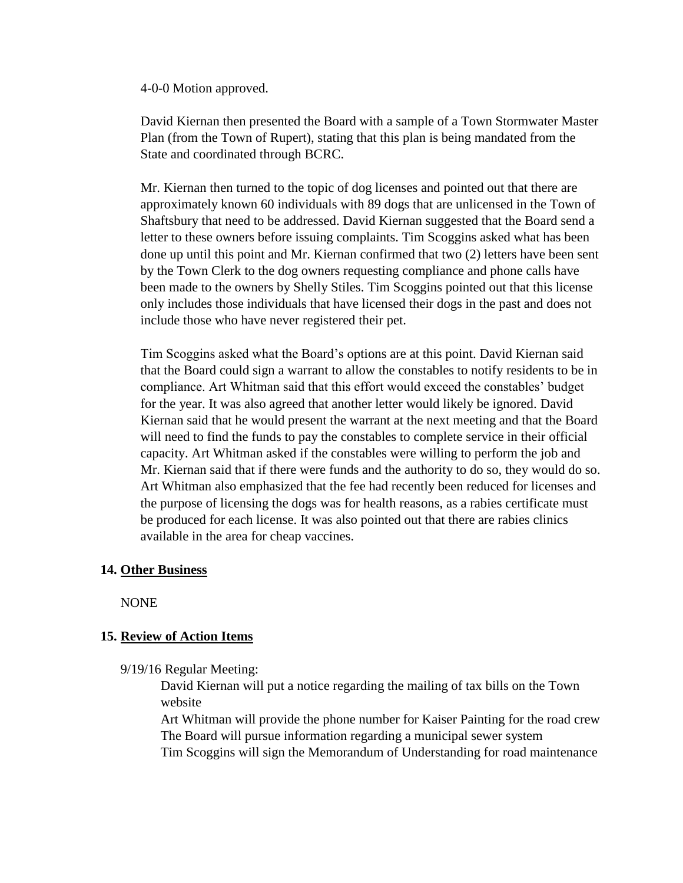4-0-0 Motion approved.

David Kiernan then presented the Board with a sample of a Town Stormwater Master Plan (from the Town of Rupert), stating that this plan is being mandated from the State and coordinated through BCRC.

Mr. Kiernan then turned to the topic of dog licenses and pointed out that there are approximately known 60 individuals with 89 dogs that are unlicensed in the Town of Shaftsbury that need to be addressed. David Kiernan suggested that the Board send a letter to these owners before issuing complaints. Tim Scoggins asked what has been done up until this point and Mr. Kiernan confirmed that two (2) letters have been sent by the Town Clerk to the dog owners requesting compliance and phone calls have been made to the owners by Shelly Stiles. Tim Scoggins pointed out that this license only includes those individuals that have licensed their dogs in the past and does not include those who have never registered their pet.

Tim Scoggins asked what the Board's options are at this point. David Kiernan said that the Board could sign a warrant to allow the constables to notify residents to be in compliance. Art Whitman said that this effort would exceed the constables' budget for the year. It was also agreed that another letter would likely be ignored. David Kiernan said that he would present the warrant at the next meeting and that the Board will need to find the funds to pay the constables to complete service in their official capacity. Art Whitman asked if the constables were willing to perform the job and Mr. Kiernan said that if there were funds and the authority to do so, they would do so. Art Whitman also emphasized that the fee had recently been reduced for licenses and the purpose of licensing the dogs was for health reasons, as a rabies certificate must be produced for each license. It was also pointed out that there are rabies clinics available in the area for cheap vaccines.

# **14. Other Business**

NONE

# **15. Review of Action Items**

9/19/16 Regular Meeting:

David Kiernan will put a notice regarding the mailing of tax bills on the Town website

Art Whitman will provide the phone number for Kaiser Painting for the road crew The Board will pursue information regarding a municipal sewer system Tim Scoggins will sign the Memorandum of Understanding for road maintenance